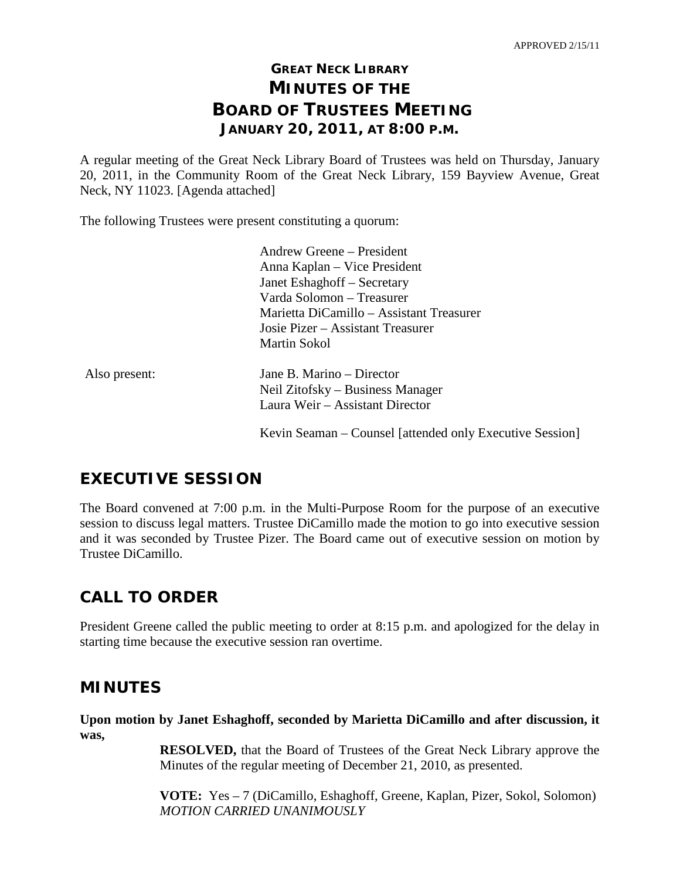## **GREAT NECK LIBRARY MINUTES OF THE BOARD OF TRUSTEES MEETING JANUARY 20, 2011, AT 8:00 P.M.**

A regular meeting of the Great Neck Library Board of Trustees was held on Thursday, January 20, 2011, in the Community Room of the Great Neck Library, 159 Bayview Avenue, Great Neck, NY 11023. [Agenda attached]

The following Trustees were present constituting a quorum:

|               | Andrew Greene – President                                |
|---------------|----------------------------------------------------------|
|               | Anna Kaplan – Vice President                             |
|               | Janet Eshaghoff – Secretary                              |
|               | Varda Solomon – Treasurer                                |
|               | Marietta DiCamillo – Assistant Treasurer                 |
|               | Josie Pizer – Assistant Treasurer                        |
|               | Martin Sokol                                             |
| Also present: | Jane B. Marino – Director                                |
|               | Neil Zitofsky – Business Manager                         |
|               | Laura Weir – Assistant Director                          |
|               | Kevin Seaman – Counsel [attended only Executive Session] |

## **EXECUTIVE SESSION**

The Board convened at 7:00 p.m. in the Multi-Purpose Room for the purpose of an executive session to discuss legal matters. Trustee DiCamillo made the motion to go into executive session and it was seconded by Trustee Pizer. The Board came out of executive session on motion by Trustee DiCamillo.

## **CALL TO ORDER**

President Greene called the public meeting to order at 8:15 p.m. and apologized for the delay in starting time because the executive session ran overtime.

### **MINUTES**

**Upon motion by Janet Eshaghoff, seconded by Marietta DiCamillo and after discussion, it was,**

> **RESOLVED,** that the Board of Trustees of the Great Neck Library approve the Minutes of the regular meeting of December 21, 2010, as presented.

> **VOTE:** Yes – 7 (DiCamillo, Eshaghoff, Greene, Kaplan, Pizer, Sokol, Solomon) *MOTION CARRIED UNANIMOUSLY*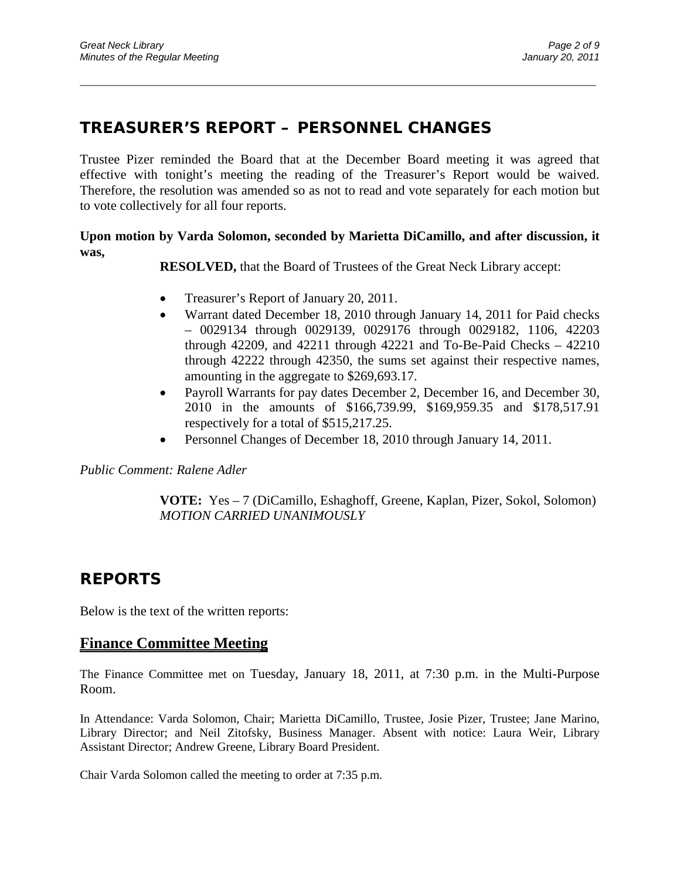### **TREASURER'S REPORT – PERSONNEL CHANGES**

Trustee Pizer reminded the Board that at the December Board meeting it was agreed that effective with tonight's meeting the reading of the Treasurer's Report would be waived. Therefore, the resolution was amended so as not to read and vote separately for each motion but to vote collectively for all four reports.

\_\_\_\_\_\_\_\_\_\_\_\_\_\_\_\_\_\_\_\_\_\_\_\_\_\_\_\_\_\_\_\_\_\_\_\_\_\_\_\_\_\_\_\_\_\_\_\_\_\_\_\_\_\_\_\_\_\_\_\_\_\_\_\_\_\_\_\_\_\_\_\_\_\_\_\_\_\_\_\_\_\_\_\_\_\_\_\_\_\_\_\_\_

#### **Upon motion by Varda Solomon, seconded by Marietta DiCamillo, and after discussion, it was,**

**RESOLVED,** that the Board of Trustees of the Great Neck Library accept:

- Treasurer's Report of January 20, 2011.
- Warrant dated December 18, 2010 through January 14, 2011 for Paid checks – 0029134 through 0029139, 0029176 through 0029182, 1106, 42203 through  $42209$ , and  $42211$  through  $42221$  and To-Be-Paid Checks  $-42210$ through 42222 through 42350, the sums set against their respective names, amounting in the aggregate to \$269,693.17.
- Payroll Warrants for pay dates December 2, December 16, and December 30, 2010 in the amounts of \$166,739.99, \$169,959.35 and \$178,517.91 respectively for a total of \$515,217.25.
- Personnel Changes of December 18, 2010 through January 14, 2011.

#### *Public Comment: Ralene Adler*

**VOTE:** Yes – 7 (DiCamillo, Eshaghoff, Greene, Kaplan, Pizer, Sokol, Solomon) *MOTION CARRIED UNANIMOUSLY*

### **REPORTS**

Below is the text of the written reports:

#### **Finance Committee Meeting**

The Finance Committee met on Tuesday, January 18, 2011, at 7:30 p.m. in the Multi-Purpose Room.

In Attendance: Varda Solomon, Chair; Marietta DiCamillo, Trustee, Josie Pizer, Trustee; Jane Marino, Library Director; and Neil Zitofsky, Business Manager. Absent with notice: Laura Weir, Library Assistant Director; Andrew Greene, Library Board President.

Chair Varda Solomon called the meeting to order at 7:35 p.m.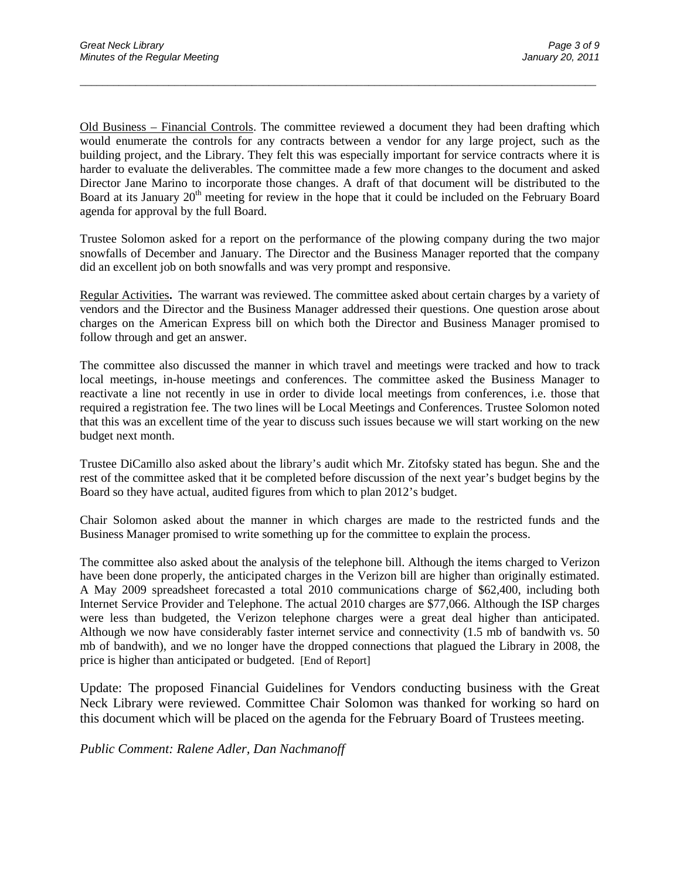Old Business – Financial Controls. The committee reviewed a document they had been drafting which would enumerate the controls for any contracts between a vendor for any large project, such as the building project, and the Library. They felt this was especially important for service contracts where it is harder to evaluate the deliverables. The committee made a few more changes to the document and asked Director Jane Marino to incorporate those changes. A draft of that document will be distributed to the Board at its January 20<sup>th</sup> meeting for review in the hope that it could be included on the February Board agenda for approval by the full Board.

\_\_\_\_\_\_\_\_\_\_\_\_\_\_\_\_\_\_\_\_\_\_\_\_\_\_\_\_\_\_\_\_\_\_\_\_\_\_\_\_\_\_\_\_\_\_\_\_\_\_\_\_\_\_\_\_\_\_\_\_\_\_\_\_\_\_\_\_\_\_\_\_\_\_\_\_\_\_\_\_\_\_\_\_\_\_\_\_\_\_\_\_\_

Trustee Solomon asked for a report on the performance of the plowing company during the two major snowfalls of December and January. The Director and the Business Manager reported that the company did an excellent job on both snowfalls and was very prompt and responsive.

Regular Activities**.** The warrant was reviewed. The committee asked about certain charges by a variety of vendors and the Director and the Business Manager addressed their questions. One question arose about charges on the American Express bill on which both the Director and Business Manager promised to follow through and get an answer.

The committee also discussed the manner in which travel and meetings were tracked and how to track local meetings, in-house meetings and conferences. The committee asked the Business Manager to reactivate a line not recently in use in order to divide local meetings from conferences, i.e. those that required a registration fee. The two lines will be Local Meetings and Conferences. Trustee Solomon noted that this was an excellent time of the year to discuss such issues because we will start working on the new budget next month.

Trustee DiCamillo also asked about the library's audit which Mr. Zitofsky stated has begun. She and the rest of the committee asked that it be completed before discussion of the next year's budget begins by the Board so they have actual, audited figures from which to plan 2012's budget.

Chair Solomon asked about the manner in which charges are made to the restricted funds and the Business Manager promised to write something up for the committee to explain the process.

The committee also asked about the analysis of the telephone bill. Although the items charged to Verizon have been done properly, the anticipated charges in the Verizon bill are higher than originally estimated. A May 2009 spreadsheet forecasted a total 2010 communications charge of \$62,400, including both Internet Service Provider and Telephone. The actual 2010 charges are \$77,066. Although the ISP charges were less than budgeted, the Verizon telephone charges were a great deal higher than anticipated. Although we now have considerably faster internet service and connectivity (1.5 mb of bandwith vs. 50 mb of bandwith), and we no longer have the dropped connections that plagued the Library in 2008, the price is higher than anticipated or budgeted. [End of Report]

Update: The proposed Financial Guidelines for Vendors conducting business with the Great Neck Library were reviewed. Committee Chair Solomon was thanked for working so hard on this document which will be placed on the agenda for the February Board of Trustees meeting.

*Public Comment: Ralene Adler, Dan Nachmanoff*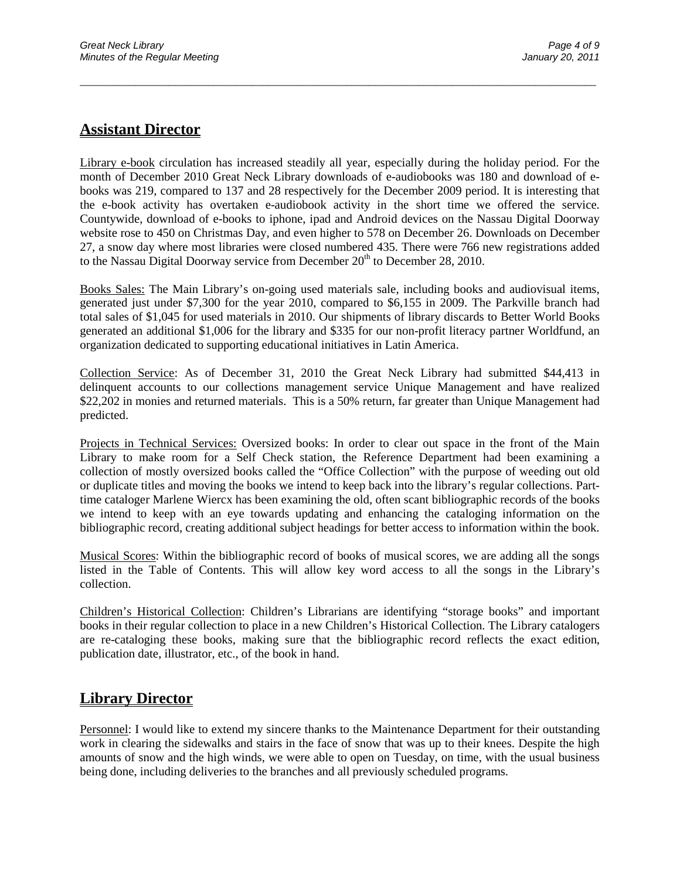### **Assistant Director**

Library e-book circulation has increased steadily all year, especially during the holiday period. For the month of December 2010 Great Neck Library downloads of e-audiobooks was 180 and download of ebooks was 219, compared to 137 and 28 respectively for the December 2009 period. It is interesting that the e-book activity has overtaken e-audiobook activity in the short time we offered the service. Countywide, download of e-books to iphone, ipad and Android devices on the Nassau Digital Doorway website rose to 450 on Christmas Day, and even higher to 578 on December 26. Downloads on December 27, a snow day where most libraries were closed numbered 435. There were 766 new registrations added to the Nassau Digital Doorway service from December  $20<sup>th</sup>$  to December 28, 2010.

\_\_\_\_\_\_\_\_\_\_\_\_\_\_\_\_\_\_\_\_\_\_\_\_\_\_\_\_\_\_\_\_\_\_\_\_\_\_\_\_\_\_\_\_\_\_\_\_\_\_\_\_\_\_\_\_\_\_\_\_\_\_\_\_\_\_\_\_\_\_\_\_\_\_\_\_\_\_\_\_\_\_\_\_\_\_\_\_\_\_\_\_\_

Books Sales: The Main Library's on-going used materials sale, including books and audiovisual items, generated just under \$7,300 for the year 2010, compared to \$6,155 in 2009. The Parkville branch had total sales of \$1,045 for used materials in 2010. Our shipments of library discards to Better World Books generated an additional \$1,006 for the library and \$335 for our non-profit literacy partner Worldfund, an organization dedicated to supporting educational initiatives in Latin America.

Collection Service: As of December 31, 2010 the Great Neck Library had submitted \$44,413 in delinquent accounts to our collections management service Unique Management and have realized \$22,202 in monies and returned materials. This is a 50% return, far greater than Unique Management had predicted.

Projects in Technical Services: Oversized books: In order to clear out space in the front of the Main Library to make room for a Self Check station, the Reference Department had been examining a collection of mostly oversized books called the "Office Collection" with the purpose of weeding out old or duplicate titles and moving the books we intend to keep back into the library's regular collections. Parttime cataloger Marlene Wiercx has been examining the old, often scant bibliographic records of the books we intend to keep with an eye towards updating and enhancing the cataloging information on the bibliographic record, creating additional subject headings for better access to information within the book.

Musical Scores: Within the bibliographic record of books of musical scores, we are adding all the songs listed in the Table of Contents. This will allow key word access to all the songs in the Library's collection.

Children's Historical Collection: Children's Librarians are identifying "storage books" and important books in their regular collection to place in a new Children's Historical Collection. The Library catalogers are re-cataloging these books, making sure that the bibliographic record reflects the exact edition, publication date, illustrator, etc., of the book in hand.

### **Library Director**

Personnel: I would like to extend my sincere thanks to the Maintenance Department for their outstanding work in clearing the sidewalks and stairs in the face of snow that was up to their knees. Despite the high amounts of snow and the high winds, we were able to open on Tuesday, on time, with the usual business being done, including deliveries to the branches and all previously scheduled programs.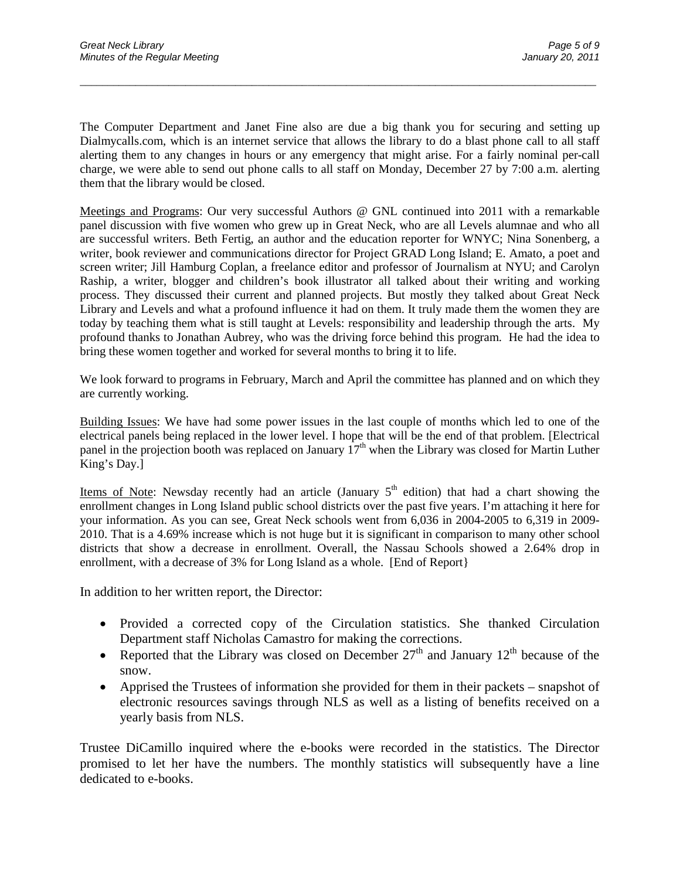The Computer Department and Janet Fine also are due a big thank you for securing and setting up Dialmycalls.com, which is an internet service that allows the library to do a blast phone call to all staff alerting them to any changes in hours or any emergency that might arise. For a fairly nominal per-call charge, we were able to send out phone calls to all staff on Monday, December 27 by 7:00 a.m. alerting them that the library would be closed.

\_\_\_\_\_\_\_\_\_\_\_\_\_\_\_\_\_\_\_\_\_\_\_\_\_\_\_\_\_\_\_\_\_\_\_\_\_\_\_\_\_\_\_\_\_\_\_\_\_\_\_\_\_\_\_\_\_\_\_\_\_\_\_\_\_\_\_\_\_\_\_\_\_\_\_\_\_\_\_\_\_\_\_\_\_\_\_\_\_\_\_\_\_

Meetings and Programs: Our very successful Authors @ GNL continued into 2011 with a remarkable panel discussion with five women who grew up in Great Neck, who are all Levels alumnae and who all are successful writers. Beth Fertig, an author and the education reporter for WNYC; Nina Sonenberg, a writer, book reviewer and communications director for Project GRAD Long Island; E. Amato, a poet and screen writer; Jill Hamburg Coplan, a freelance editor and professor of Journalism at NYU; and Carolyn Raship, a writer, blogger and children's book illustrator all talked about their writing and working process. They discussed their current and planned projects. But mostly they talked about Great Neck Library and Levels and what a profound influence it had on them. It truly made them the women they are today by teaching them what is still taught at Levels: responsibility and leadership through the arts. My profound thanks to Jonathan Aubrey, who was the driving force behind this program. He had the idea to bring these women together and worked for several months to bring it to life.

We look forward to programs in February, March and April the committee has planned and on which they are currently working.

Building Issues: We have had some power issues in the last couple of months which led to one of the electrical panels being replaced in the lower level. I hope that will be the end of that problem. [Electrical panel in the projection booth was replaced on January  $17<sup>th</sup>$  when the Library was closed for Martin Luther King's Day.]

Items of Note: Newsday recently had an article (January  $5<sup>th</sup>$  edition) that had a chart showing the enrollment changes in Long Island public school districts over the past five years. I'm attaching it here for your information. As you can see, Great Neck schools went from 6,036 in 2004-2005 to 6,319 in 2009- 2010. That is a 4.69% increase which is not huge but it is significant in comparison to many other school districts that show a decrease in enrollment. Overall, the Nassau Schools showed a 2.64% drop in enrollment, with a decrease of 3% for Long Island as a whole. [End of Report}

In addition to her written report, the Director:

- Provided a corrected copy of the Circulation statistics. She thanked Circulation Department staff Nicholas Camastro for making the corrections.
- Reported that the Library was closed on December  $27<sup>th</sup>$  and January  $12<sup>th</sup>$  because of the snow.
- Apprised the Trustees of information she provided for them in their packets snapshot of electronic resources savings through NLS as well as a listing of benefits received on a yearly basis from NLS.

Trustee DiCamillo inquired where the e-books were recorded in the statistics. The Director promised to let her have the numbers. The monthly statistics will subsequently have a line dedicated to e-books.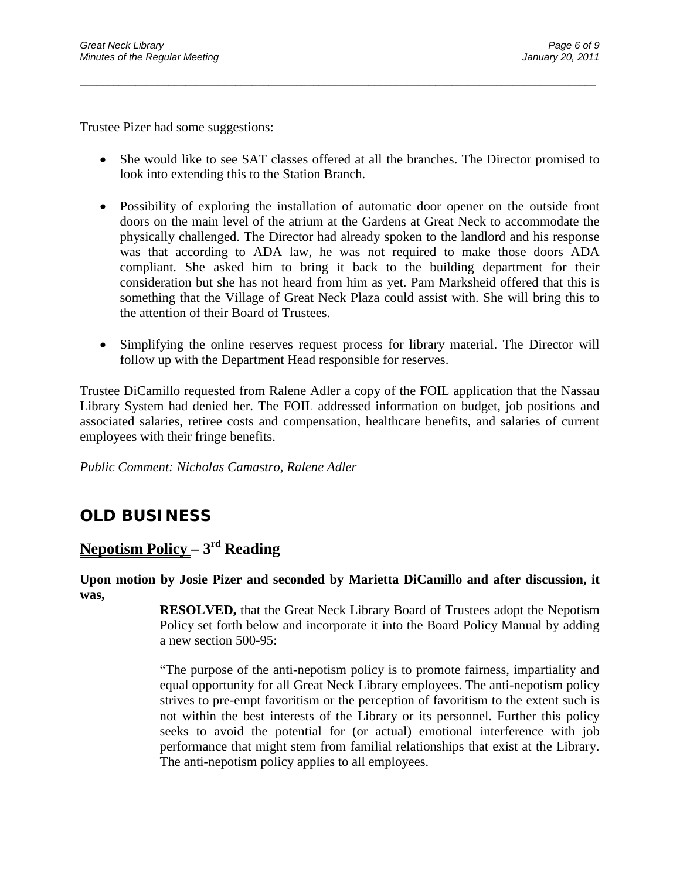Trustee Pizer had some suggestions:

• She would like to see SAT classes offered at all the branches. The Director promised to look into extending this to the Station Branch.

\_\_\_\_\_\_\_\_\_\_\_\_\_\_\_\_\_\_\_\_\_\_\_\_\_\_\_\_\_\_\_\_\_\_\_\_\_\_\_\_\_\_\_\_\_\_\_\_\_\_\_\_\_\_\_\_\_\_\_\_\_\_\_\_\_\_\_\_\_\_\_\_\_\_\_\_\_\_\_\_\_\_\_\_\_\_\_\_\_\_\_\_\_

- Possibility of exploring the installation of automatic door opener on the outside front doors on the main level of the atrium at the Gardens at Great Neck to accommodate the physically challenged. The Director had already spoken to the landlord and his response was that according to ADA law, he was not required to make those doors ADA compliant. She asked him to bring it back to the building department for their consideration but she has not heard from him as yet. Pam Marksheid offered that this is something that the Village of Great Neck Plaza could assist with. She will bring this to the attention of their Board of Trustees.
- Simplifying the online reserves request process for library material. The Director will follow up with the Department Head responsible for reserves.

Trustee DiCamillo requested from Ralene Adler a copy of the FOIL application that the Nassau Library System had denied her. The FOIL addressed information on budget, job positions and associated salaries, retiree costs and compensation, healthcare benefits, and salaries of current employees with their fringe benefits.

*Public Comment: Nicholas Camastro, Ralene Adler*

# **OLD BUSINESS**

### **Nepotism Policy – 3rd Reading**

**Upon motion by Josie Pizer and seconded by Marietta DiCamillo and after discussion, it was,**

> **RESOLVED,** that the Great Neck Library Board of Trustees adopt the Nepotism Policy set forth below and incorporate it into the Board Policy Manual by adding a new section 500-95:

> "The purpose of the anti-nepotism policy is to promote fairness, impartiality and equal opportunity for all Great Neck Library employees. The anti-nepotism policy strives to pre-empt favoritism or the perception of favoritism to the extent such is not within the best interests of the Library or its personnel. Further this policy seeks to avoid the potential for (or actual) emotional interference with job performance that might stem from familial relationships that exist at the Library. The anti-nepotism policy applies to all employees.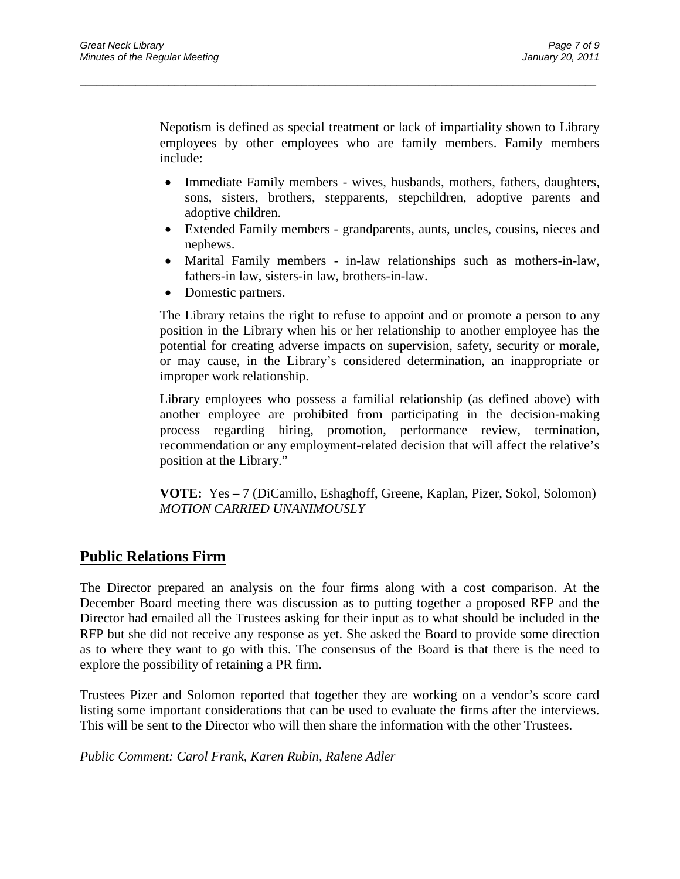Nepotism is defined as special treatment or lack of impartiality shown to Library employees by other employees who are family members. Family members include:

\_\_\_\_\_\_\_\_\_\_\_\_\_\_\_\_\_\_\_\_\_\_\_\_\_\_\_\_\_\_\_\_\_\_\_\_\_\_\_\_\_\_\_\_\_\_\_\_\_\_\_\_\_\_\_\_\_\_\_\_\_\_\_\_\_\_\_\_\_\_\_\_\_\_\_\_\_\_\_\_\_\_\_\_\_\_\_\_\_\_\_\_\_

- Immediate Family members wives, husbands, mothers, fathers, daughters, sons, sisters, brothers, stepparents, stepchildren, adoptive parents and adoptive children.
- Extended Family members grandparents, aunts, uncles, cousins, nieces and nephews.
- Marital Family members in-law relationships such as mothers-in-law, fathers-in law, sisters-in law, brothers-in-law.
- Domestic partners.

The Library retains the right to refuse to appoint and or promote a person to any position in the Library when his or her relationship to another employee has the potential for creating adverse impacts on supervision, safety, security or morale, or may cause, in the Library's considered determination, an inappropriate or improper work relationship.

Library employees who possess a familial relationship (as defined above) with another employee are prohibited from participating in the decision-making process regarding hiring, promotion, performance review, termination, recommendation or any employment-related decision that will affect the relative's position at the Library."

**VOTE:** Yes **–** 7 (DiCamillo, Eshaghoff, Greene, Kaplan, Pizer, Sokol, Solomon) *MOTION CARRIED UNANIMOUSLY*

### **Public Relations Firm**

The Director prepared an analysis on the four firms along with a cost comparison. At the December Board meeting there was discussion as to putting together a proposed RFP and the Director had emailed all the Trustees asking for their input as to what should be included in the RFP but she did not receive any response as yet. She asked the Board to provide some direction as to where they want to go with this. The consensus of the Board is that there is the need to explore the possibility of retaining a PR firm.

Trustees Pizer and Solomon reported that together they are working on a vendor's score card listing some important considerations that can be used to evaluate the firms after the interviews. This will be sent to the Director who will then share the information with the other Trustees.

*Public Comment: Carol Frank, Karen Rubin, Ralene Adler*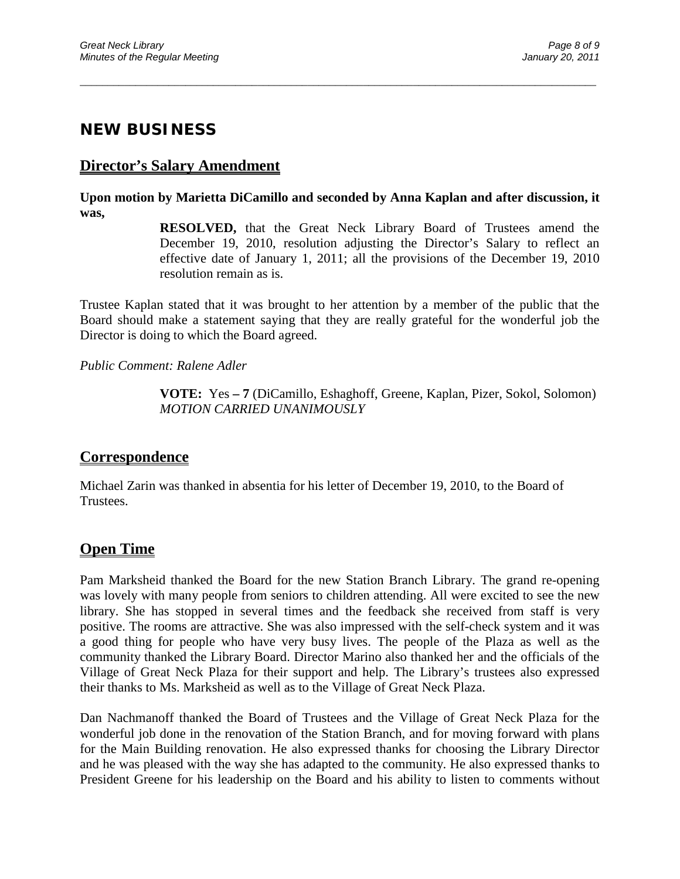### **NEW BUSINESS**

#### **Director's Salary Amendment**

**Upon motion by Marietta DiCamillo and seconded by Anna Kaplan and after discussion, it was,**

\_\_\_\_\_\_\_\_\_\_\_\_\_\_\_\_\_\_\_\_\_\_\_\_\_\_\_\_\_\_\_\_\_\_\_\_\_\_\_\_\_\_\_\_\_\_\_\_\_\_\_\_\_\_\_\_\_\_\_\_\_\_\_\_\_\_\_\_\_\_\_\_\_\_\_\_\_\_\_\_\_\_\_\_\_\_\_\_\_\_\_\_\_

**RESOLVED,** that the Great Neck Library Board of Trustees amend the December 19, 2010, resolution adjusting the Director's Salary to reflect an effective date of January 1, 2011; all the provisions of the December 19, 2010 resolution remain as is.

Trustee Kaplan stated that it was brought to her attention by a member of the public that the Board should make a statement saying that they are really grateful for the wonderful job the Director is doing to which the Board agreed.

*Public Comment: Ralene Adler*

**VOTE:** Yes **– 7** (DiCamillo, Eshaghoff, Greene, Kaplan, Pizer, Sokol, Solomon) *MOTION CARRIED UNANIMOUSLY*

#### **Correspondence**

Michael Zarin was thanked in absentia for his letter of December 19, 2010, to the Board of Trustees.

#### **Open Time**

Pam Marksheid thanked the Board for the new Station Branch Library. The grand re-opening was lovely with many people from seniors to children attending. All were excited to see the new library. She has stopped in several times and the feedback she received from staff is very positive. The rooms are attractive. She was also impressed with the self-check system and it was a good thing for people who have very busy lives. The people of the Plaza as well as the community thanked the Library Board. Director Marino also thanked her and the officials of the Village of Great Neck Plaza for their support and help. The Library's trustees also expressed their thanks to Ms. Marksheid as well as to the Village of Great Neck Plaza.

Dan Nachmanoff thanked the Board of Trustees and the Village of Great Neck Plaza for the wonderful job done in the renovation of the Station Branch, and for moving forward with plans for the Main Building renovation. He also expressed thanks for choosing the Library Director and he was pleased with the way she has adapted to the community. He also expressed thanks to President Greene for his leadership on the Board and his ability to listen to comments without